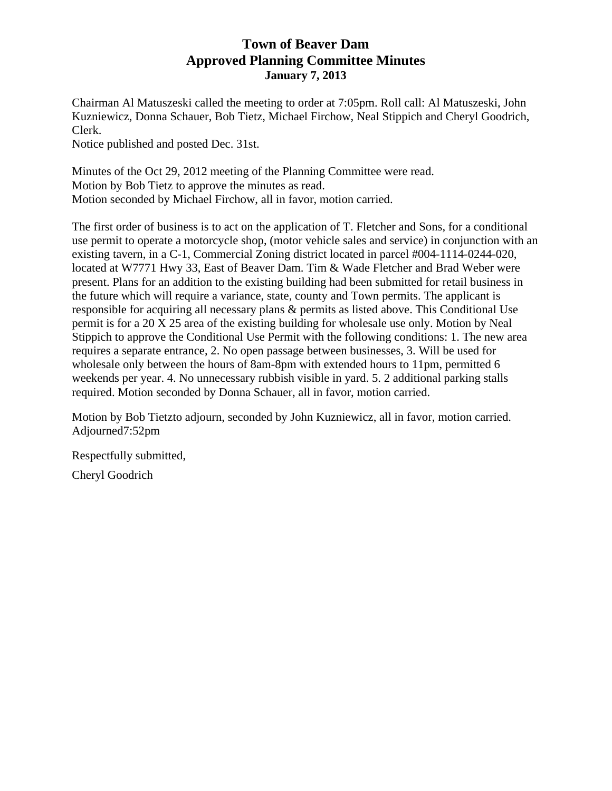## **Town of Beaver Dam Approved Planning Committee Minutes January 7, 2013**

Chairman Al Matuszeski called the meeting to order at 7:05pm. Roll call: Al Matuszeski, John Kuzniewicz, Donna Schauer, Bob Tietz, Michael Firchow, Neal Stippich and Cheryl Goodrich, Clerk.

Notice published and posted Dec. 31st.

Minutes of the Oct 29, 2012 meeting of the Planning Committee were read. Motion by Bob Tietz to approve the minutes as read. Motion seconded by Michael Firchow, all in favor, motion carried.

The first order of business is to act on the application of T. Fletcher and Sons, for a conditional use permit to operate a motorcycle shop, (motor vehicle sales and service) in conjunction with an existing tavern, in a C-1, Commercial Zoning district located in parcel #004-1114-0244-020, located at W7771 Hwy 33, East of Beaver Dam. Tim & Wade Fletcher and Brad Weber were present. Plans for an addition to the existing building had been submitted for retail business in the future which will require a variance, state, county and Town permits. The applicant is responsible for acquiring all necessary plans & permits as listed above. This Conditional Use permit is for a 20 X 25 area of the existing building for wholesale use only. Motion by Neal Stippich to approve the Conditional Use Permit with the following conditions: 1. The new area requires a separate entrance, 2. No open passage between businesses, 3. Will be used for wholesale only between the hours of 8am-8pm with extended hours to 11pm, permitted 6 weekends per year. 4. No unnecessary rubbish visible in yard. 5. 2 additional parking stalls required. Motion seconded by Donna Schauer, all in favor, motion carried.

Motion by Bob Tietzto adjourn, seconded by John Kuzniewicz, all in favor, motion carried. Adjourned7:52pm

Respectfully submitted,

Cheryl Goodrich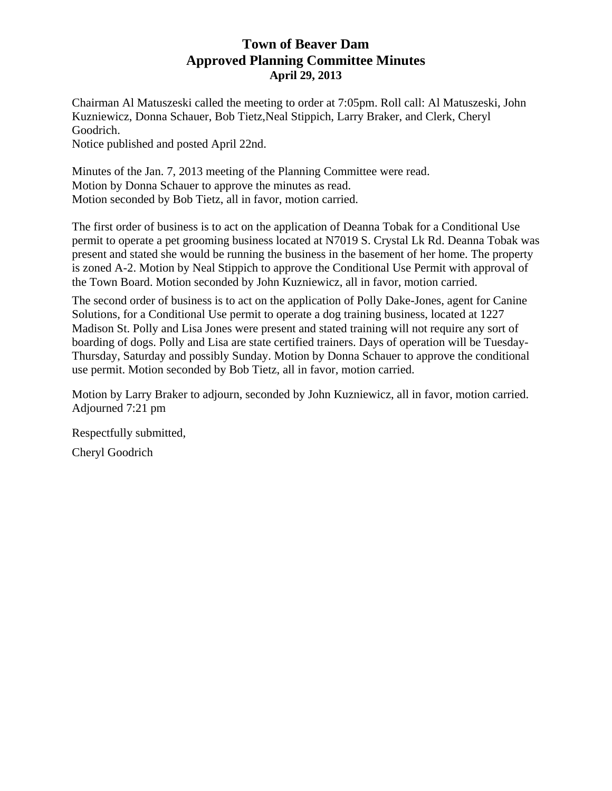## **Town of Beaver Dam Approved Planning Committee Minutes April 29, 2013**

Chairman Al Matuszeski called the meeting to order at 7:05pm. Roll call: Al Matuszeski, John Kuzniewicz, Donna Schauer, Bob Tietz,Neal Stippich, Larry Braker, and Clerk, Cheryl Goodrich.

Notice published and posted April 22nd.

Minutes of the Jan. 7, 2013 meeting of the Planning Committee were read. Motion by Donna Schauer to approve the minutes as read. Motion seconded by Bob Tietz, all in favor, motion carried.

The first order of business is to act on the application of Deanna Tobak for a Conditional Use permit to operate a pet grooming business located at N7019 S. Crystal Lk Rd. Deanna Tobak was present and stated she would be running the business in the basement of her home. The property is zoned A-2. Motion by Neal Stippich to approve the Conditional Use Permit with approval of the Town Board. Motion seconded by John Kuzniewicz, all in favor, motion carried.

The second order of business is to act on the application of Polly Dake-Jones, agent for Canine Solutions, for a Conditional Use permit to operate a dog training business, located at 1227 Madison St. Polly and Lisa Jones were present and stated training will not require any sort of boarding of dogs. Polly and Lisa are state certified trainers. Days of operation will be Tuesday-Thursday, Saturday and possibly Sunday. Motion by Donna Schauer to approve the conditional use permit. Motion seconded by Bob Tietz, all in favor, motion carried.

Motion by Larry Braker to adjourn, seconded by John Kuzniewicz, all in favor, motion carried. Adjourned 7:21 pm

Respectfully submitted,

Cheryl Goodrich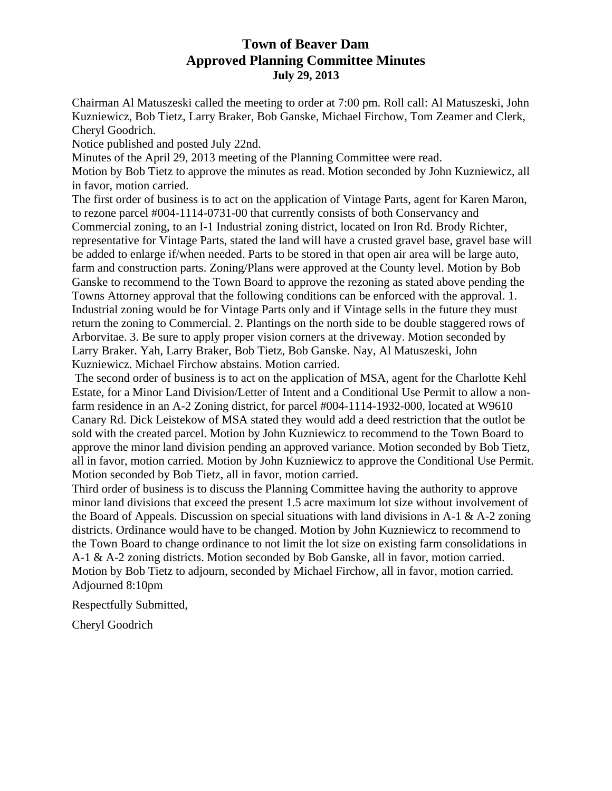## **Town of Beaver Dam Approved Planning Committee Minutes July 29, 2013**

Chairman Al Matuszeski called the meeting to order at 7:00 pm. Roll call: Al Matuszeski, John Kuzniewicz, Bob Tietz, Larry Braker, Bob Ganske, Michael Firchow, Tom Zeamer and Clerk, Cheryl Goodrich.

Notice published and posted July 22nd.

Minutes of the April 29, 2013 meeting of the Planning Committee were read.

Motion by Bob Tietz to approve the minutes as read. Motion seconded by John Kuzniewicz, all in favor, motion carried.

The first order of business is to act on the application of Vintage Parts, agent for Karen Maron, to rezone parcel #004-1114-0731-00 that currently consists of both Conservancy and Commercial zoning, to an I-1 Industrial zoning district, located on Iron Rd. Brody Richter, representative for Vintage Parts, stated the land will have a crusted gravel base, gravel base will be added to enlarge if/when needed. Parts to be stored in that open air area will be large auto, farm and construction parts. Zoning/Plans were approved at the County level. Motion by Bob Ganske to recommend to the Town Board to approve the rezoning as stated above pending the Towns Attorney approval that the following conditions can be enforced with the approval. 1. Industrial zoning would be for Vintage Parts only and if Vintage sells in the future they must return the zoning to Commercial. 2. Plantings on the north side to be double staggered rows of Arborvitae. 3. Be sure to apply proper vision corners at the driveway. Motion seconded by Larry Braker. Yah, Larry Braker, Bob Tietz, Bob Ganske. Nay, Al Matuszeski, John Kuzniewicz. Michael Firchow abstains. Motion carried.

 The second order of business is to act on the application of MSA, agent for the Charlotte Kehl Estate, for a Minor Land Division/Letter of Intent and a Conditional Use Permit to allow a nonfarm residence in an A-2 Zoning district, for parcel #004-1114-1932-000, located at W9610 Canary Rd. Dick Leistekow of MSA stated they would add a deed restriction that the outlot be sold with the created parcel. Motion by John Kuzniewicz to recommend to the Town Board to approve the minor land division pending an approved variance. Motion seconded by Bob Tietz, all in favor, motion carried. Motion by John Kuzniewicz to approve the Conditional Use Permit. Motion seconded by Bob Tietz, all in favor, motion carried.

Third order of business is to discuss the Planning Committee having the authority to approve minor land divisions that exceed the present 1.5 acre maximum lot size without involvement of the Board of Appeals. Discussion on special situations with land divisions in A-1  $\&$  A-2 zoning districts. Ordinance would have to be changed. Motion by John Kuzniewicz to recommend to the Town Board to change ordinance to not limit the lot size on existing farm consolidations in A-1 & A-2 zoning districts. Motion seconded by Bob Ganske, all in favor, motion carried. Motion by Bob Tietz to adjourn, seconded by Michael Firchow, all in favor, motion carried. Adjourned 8:10pm

Respectfully Submitted,

Cheryl Goodrich